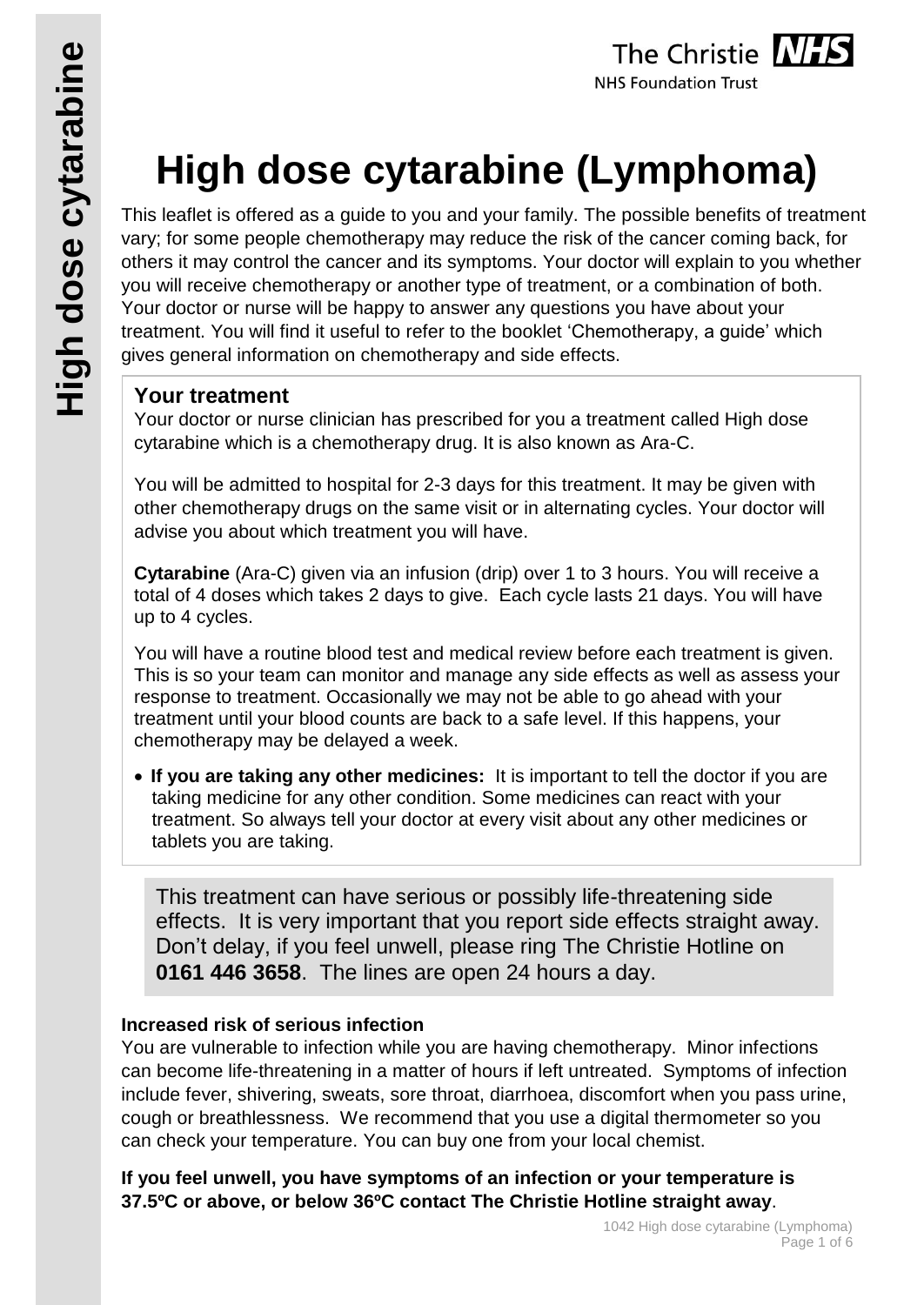# **High dose cytarabine (Lymphoma)**

This leaflet is offered as a guide to you and your family. The possible benefits of treatment vary; for some people chemotherapy may reduce the risk of the cancer coming back, for others it may control the cancer and its symptoms. Your doctor will explain to you whether you will receive chemotherapy or another type of treatment, or a combination of both. Your doctor or nurse will be happy to answer any questions you have about your treatment. You will find it useful to refer to the booklet 'Chemotherapy, a guide' which gives general information on chemotherapy and side effects.

## **Your treatment**

Your doctor or nurse clinician has prescribed for you a treatment called High dose cytarabine which is a chemotherapy drug. It is also known as Ara-C.

You will be admitted to hospital for 2-3 days for this treatment. It may be given with other chemotherapy drugs on the same visit or in alternating cycles. Your doctor will advise you about which treatment you will have.

**Cytarabine** (Ara-C) given via an infusion (drip) over 1 to 3 hours. You will receive a total of 4 doses which takes 2 days to give. Each cycle lasts 21 days. You will have up to 4 cycles.

You will have a routine blood test and medical review before each treatment is given. This is so your team can monitor and manage any side effects as well as assess your response to treatment. Occasionally we may not be able to go ahead with your treatment until your blood counts are back to a safe level. If this happens, your chemotherapy may be delayed a week.

 **If you are taking any other medicines:** It is important to tell the doctor if you are taking medicine for any other condition. Some medicines can react with your treatment. So always tell your doctor at every visit about any other medicines or tablets you are taking.

This treatment can have serious or possibly life-threatening side effects. It is very important that you report side effects straight away. Don't delay, if you feel unwell, please ring The Christie Hotline on **0161 446 3658**. The lines are open 24 hours a day.

#### **Increased risk of serious infection**

You are vulnerable to infection while you are having chemotherapy. Minor infections can become life-threatening in a matter of hours if left untreated. Symptoms of infection include fever, shivering, sweats, sore throat, diarrhoea, discomfort when you pass urine, cough or breathlessness. We recommend that you use a digital thermometer so you can check your temperature. You can buy one from your local chemist.

**If you feel unwell, you have symptoms of an infection or your temperature is 37.5ºC or above, or below 36ºC contact The Christie Hotline straight away**.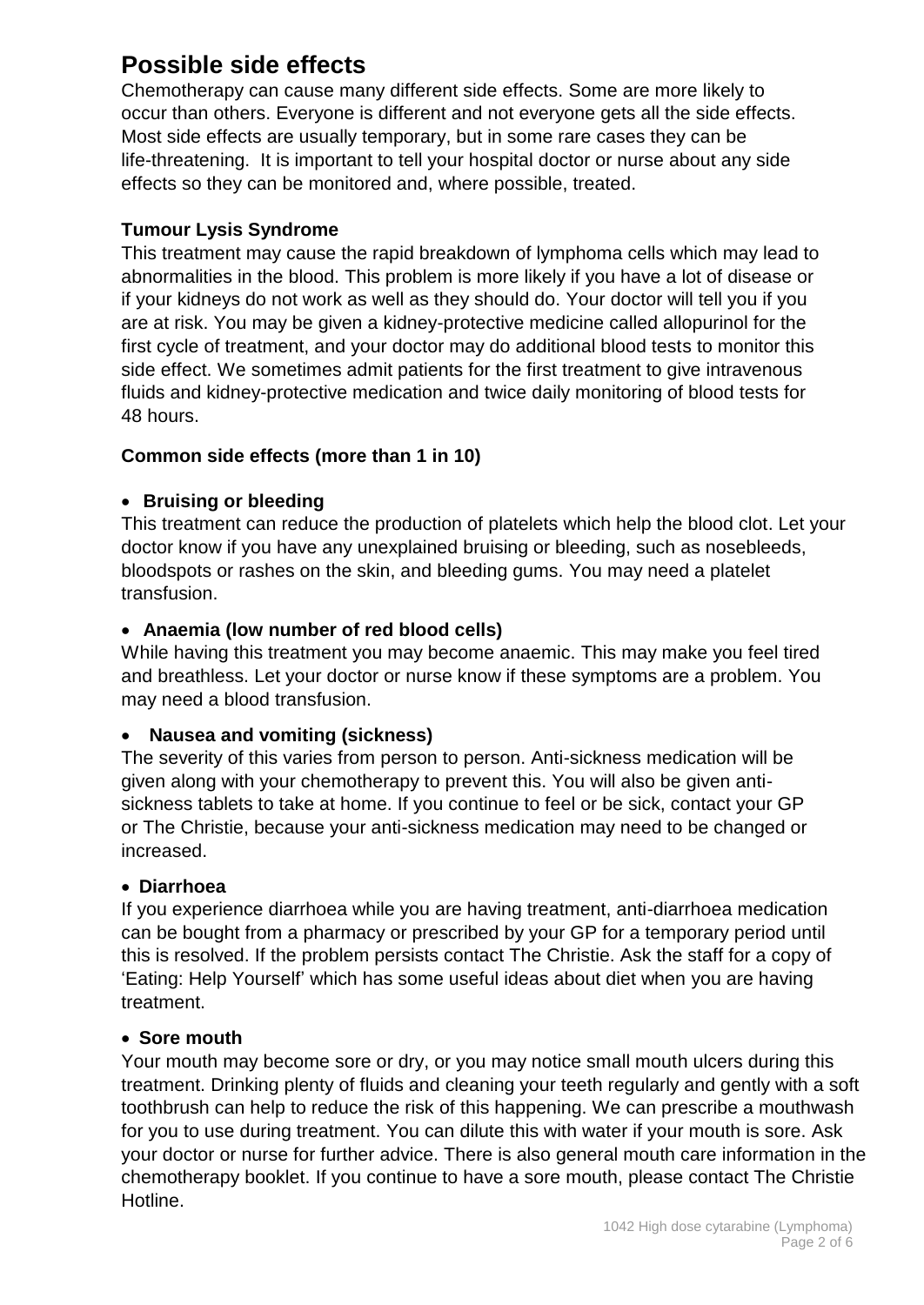# **Possible side effects**

Chemotherapy can cause many different side effects. Some are more likely to occur than others. Everyone is different and not everyone gets all the side effects. Most side effects are usually temporary, but in some rare cases they can be life-threatening. It is important to tell your hospital doctor or nurse about any side effects so they can be monitored and, where possible, treated.

#### **Tumour Lysis Syndrome**

This treatment may cause the rapid breakdown of lymphoma cells which may lead to abnormalities in the blood. This problem is more likely if you have a lot of disease or if your kidneys do not work as well as they should do. Your doctor will tell you if you are at risk. You may be given a kidney-protective medicine called allopurinol for the first cycle of treatment, and your doctor may do additional blood tests to monitor this side effect. We sometimes admit patients for the first treatment to give intravenous fluids and kidney-protective medication and twice daily monitoring of blood tests for 48 hours.

#### **Common side effects (more than 1 in 10)**

#### **• Bruising or bleeding**

This treatment can reduce the production of platelets which help the blood clot. Let your doctor know if you have any unexplained bruising or bleeding, such as nosebleeds, bloodspots or rashes on the skin, and bleeding gums. You may need a platelet transfusion.

#### **Anaemia (low number of red blood cells)**

While having this treatment you may become anaemic. This may make you feel tired and breathless. Let your doctor or nurse know if these symptoms are a problem. You may need a blood transfusion.

#### **Nausea and vomiting (sickness)**

The severity of this varies from person to person. Anti-sickness medication will be given along with your chemotherapy to prevent this. You will also be given antisickness tablets to take at home. If you continue to feel or be sick, contact your GP or The Christie, because your anti-sickness medication may need to be changed or increased.

#### **Diarrhoea**

If you experience diarrhoea while you are having treatment, anti-diarrhoea medication can be bought from a pharmacy or prescribed by your GP for a temporary period until this is resolved. If the problem persists contact The Christie. Ask the staff for a copy of 'Eating: Help Yourself' which has some useful ideas about diet when you are having treatment.

#### **Sore mouth**

Your mouth may become sore or dry, or you may notice small mouth ulcers during this treatment. Drinking plenty of fluids and cleaning your teeth regularly and gently with a soft toothbrush can help to reduce the risk of this happening. We can prescribe a mouthwash for you to use during treatment. You can dilute this with water if your mouth is sore. Ask your doctor or nurse for further advice. There is also general mouth care information in the chemotherapy booklet. If you continue to have a sore mouth, please contact The Christie Hotline.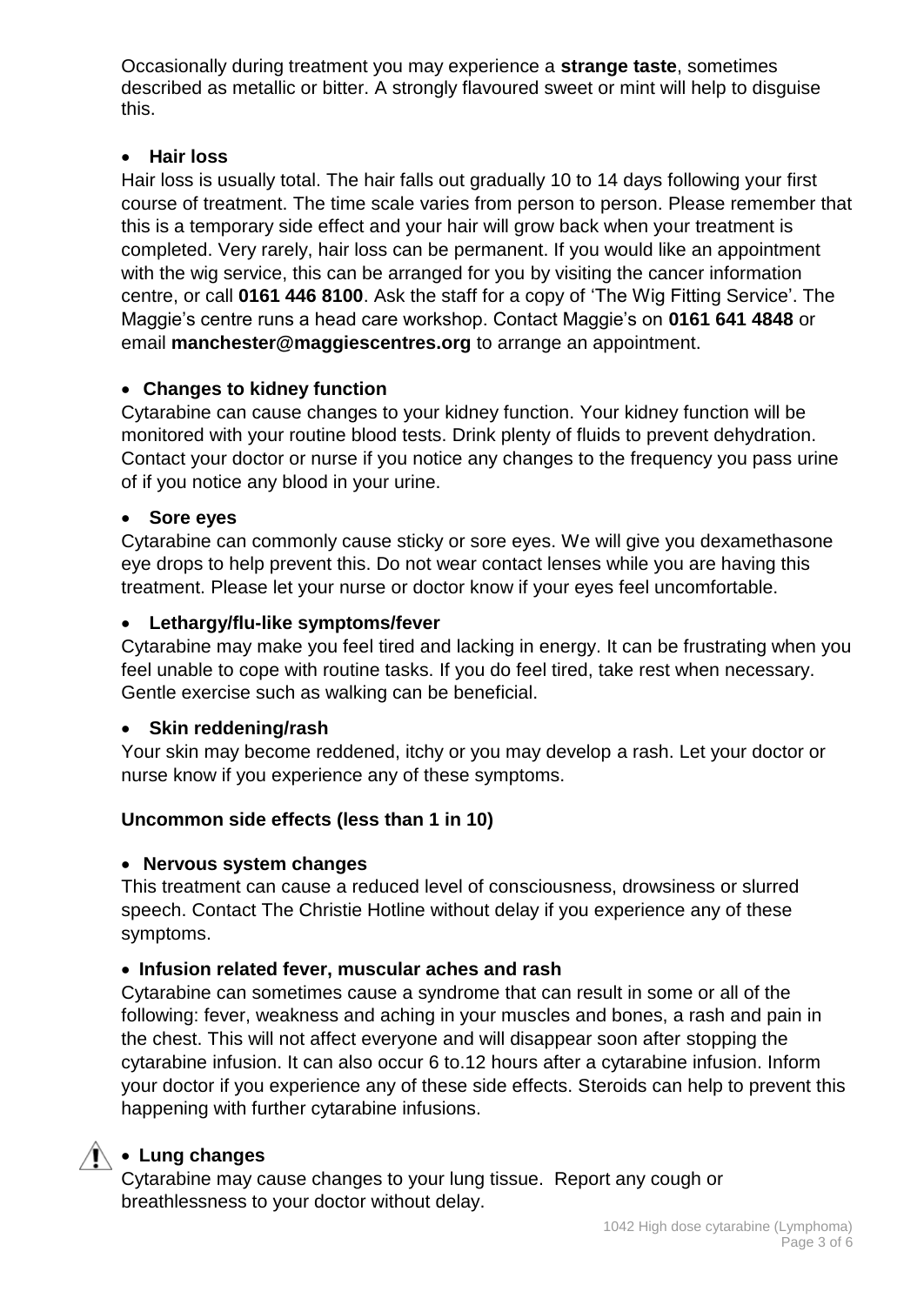Occasionally during treatment you may experience a **strange taste**, sometimes described as metallic or bitter. A strongly flavoured sweet or mint will help to disguise this.

#### **Hair loss**

Hair loss is usually total. The hair falls out gradually 10 to 14 days following your first course of treatment. The time scale varies from person to person. Please remember that this is a temporary side effect and your hair will grow back when your treatment is completed. Very rarely, hair loss can be permanent. If you would like an appointment with the wig service, this can be arranged for you by visiting the cancer information centre, or call **0161 446 8100**. Ask the staff for a copy of 'The Wig Fitting Service'. The Maggie's centre runs a head care workshop. Contact Maggie's on **0161 641 4848** or email **manchester@maggiescentres.org** to arrange an appointment.

#### **Changes to kidney function**

Cytarabine can cause changes to your kidney function. Your kidney function will be monitored with your routine blood tests. Drink plenty of fluids to prevent dehydration. Contact your doctor or nurse if you notice any changes to the frequency you pass urine of if you notice any blood in your urine.

#### **Sore eyes**

Cytarabine can commonly cause sticky or sore eyes. We will give you dexamethasone eye drops to help prevent this. Do not wear contact lenses while you are having this treatment. Please let your nurse or doctor know if your eyes feel uncomfortable.

#### **Lethargy/flu-like symptoms/fever**

Cytarabine may make you feel tired and lacking in energy. It can be frustrating when you feel unable to cope with routine tasks. If you do feel tired, take rest when necessary. Gentle exercise such as walking can be beneficial.

#### **Skin reddening/rash**

Your skin may become reddened, itchy or you may develop a rash. Let your doctor or nurse know if you experience any of these symptoms.

#### **Uncommon side effects (less than 1 in 10)**

#### **Nervous system changes**

This treatment can cause a reduced level of consciousness, drowsiness or slurred speech. Contact The Christie Hotline without delay if you experience any of these symptoms.

#### **Infusion related fever, muscular aches and rash**

Cytarabine can sometimes cause a syndrome that can result in some or all of the following: fever, weakness and aching in your muscles and bones, a rash and pain in the chest. This will not affect everyone and will disappear soon after stopping the cytarabine infusion. It can also occur 6 to.12 hours after a cytarabine infusion. Inform your doctor if you experience any of these side effects. Steroids can help to prevent this happening with further cytarabine infusions.

#### **Lung changes**

Cytarabine may cause changes to your lung tissue. Report any cough or breathlessness to your doctor without delay.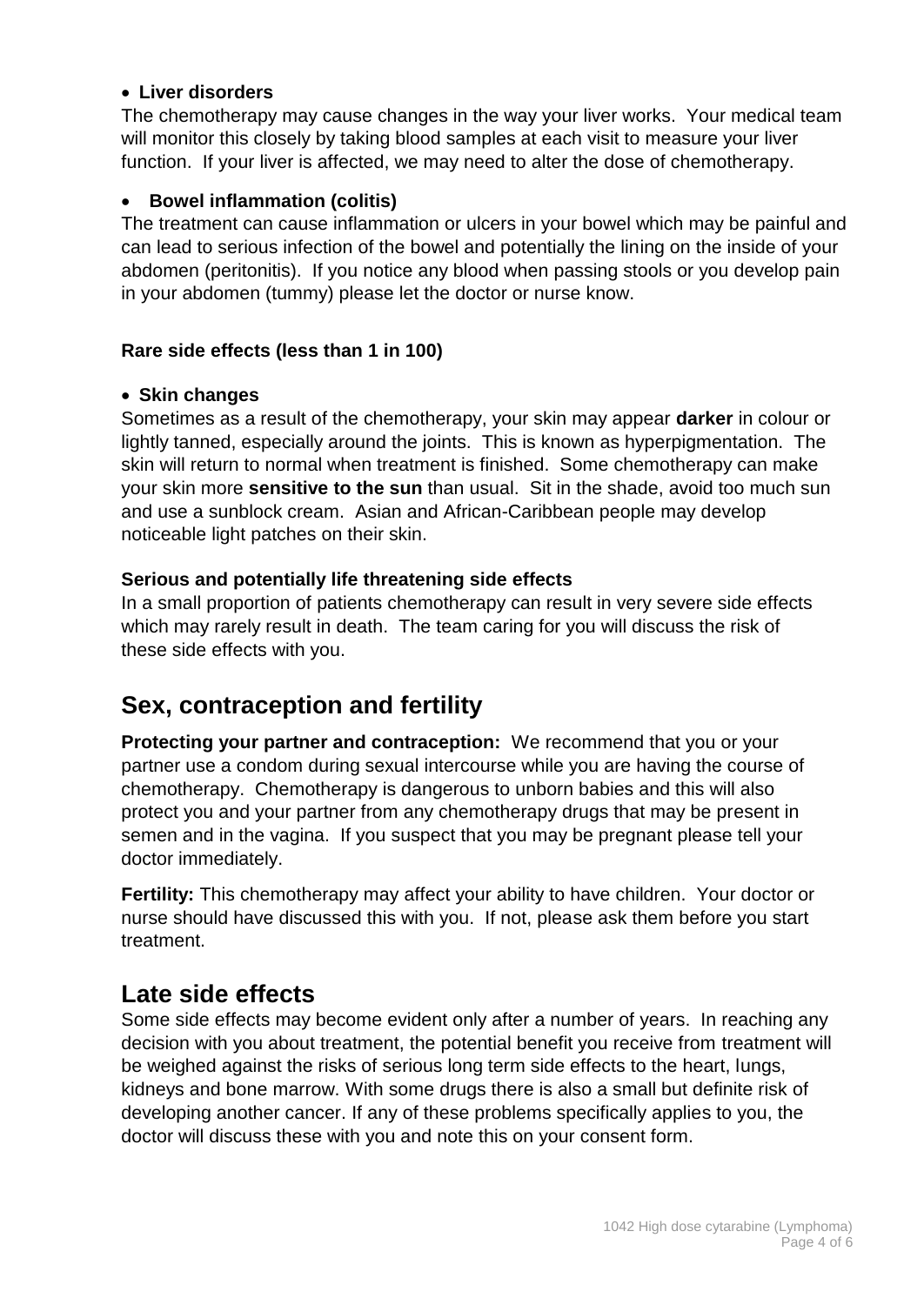#### **Liver disorders**

The chemotherapy may cause changes in the way your liver works. Your medical team will monitor this closely by taking blood samples at each visit to measure your liver function. If your liver is affected, we may need to alter the dose of chemotherapy.

#### **Bowel inflammation (colitis)**

The treatment can cause inflammation or ulcers in your bowel which may be painful and can lead to serious infection of the bowel and potentially the lining on the inside of your abdomen (peritonitis). If you notice any blood when passing stools or you develop pain in your abdomen (tummy) please let the doctor or nurse know.

#### **Rare side effects (less than 1 in 100)**

#### **Skin changes**

Sometimes as a result of the chemotherapy, your skin may appear **darker** in colour or lightly tanned, especially around the joints. This is known as hyperpigmentation. The skin will return to normal when treatment is finished. Some chemotherapy can make your skin more **sensitive to the sun** than usual. Sit in the shade, avoid too much sun and use a sunblock cream. Asian and African-Caribbean people may develop noticeable light patches on their skin.

#### **Serious and potentially life threatening side effects**

In a small proportion of patients chemotherapy can result in very severe side effects which may rarely result in death. The team caring for you will discuss the risk of these side effects with you.

# **Sex, contraception and fertility**

**Protecting your partner and contraception:** We recommend that you or your partner use a condom during sexual intercourse while you are having the course of chemotherapy. Chemotherapy is dangerous to unborn babies and this will also protect you and your partner from any chemotherapy drugs that may be present in semen and in the vagina. If you suspect that you may be pregnant please tell your doctor immediately.

**Fertility:** This chemotherapy may affect your ability to have children. Your doctor or nurse should have discussed this with you. If not, please ask them before you start treatment.

## **Late side effects**

Some side effects may become evident only after a number of years. In reaching any decision with you about treatment, the potential benefit you receive from treatment will be weighed against the risks of serious long term side effects to the heart, lungs, kidneys and bone marrow. With some drugs there is also a small but definite risk of developing another cancer. If any of these problems specifically applies to you, the doctor will discuss these with you and note this on your consent form.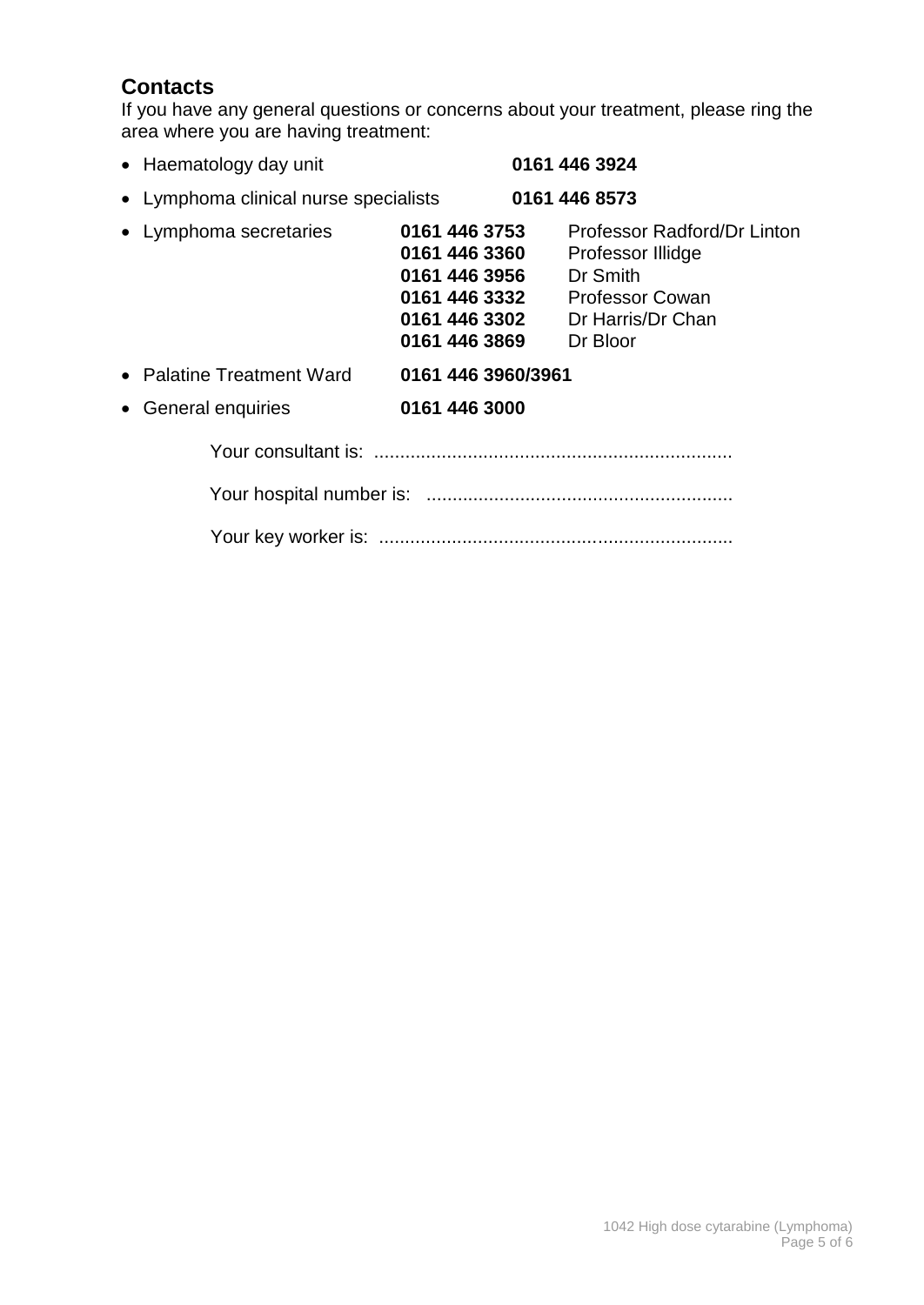## **Contacts**

If you have any general questions or concerns about your treatment, please ring the area where you are having treatment:

| • Haematology day unit                |                                                                                                    | 0161 446 3924                                                                                                           |
|---------------------------------------|----------------------------------------------------------------------------------------------------|-------------------------------------------------------------------------------------------------------------------------|
| • Lymphoma clinical nurse specialists |                                                                                                    | 0161 446 8573                                                                                                           |
| • Lymphoma secretaries                | 0161 446 3753<br>0161 446 3360<br>0161 446 3956<br>0161 446 3332<br>0161 446 3302<br>0161 446 3869 | Professor Radford/Dr Linton<br>Professor Illidge<br>Dr Smith<br><b>Professor Cowan</b><br>Dr Harris/Dr Chan<br>Dr Bloor |
| • Palatine Treatment Ward             | 0161 446 3960/3961                                                                                 |                                                                                                                         |
| • General enquiries                   | 0161 446 3000                                                                                      |                                                                                                                         |
|                                       |                                                                                                    |                                                                                                                         |
|                                       |                                                                                                    |                                                                                                                         |